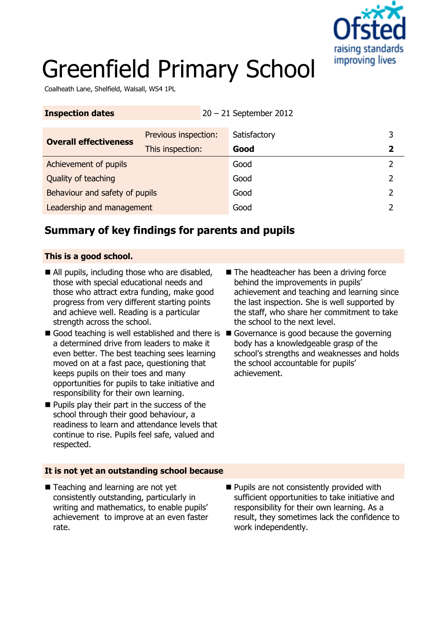

# Greenfield Primary School

Coalheath Lane, Shelfield, Walsall, WS4 1PL

| <b>Inspection dates</b>        | $20 - 21$ September 2012 |              |             |
|--------------------------------|--------------------------|--------------|-------------|
| <b>Overall effectiveness</b>   | Previous inspection:     | Satisfactory | 3           |
|                                | This inspection:         | Good         | $\mathbf 2$ |
| Achievement of pupils          |                          | Good         |             |
| Quality of teaching            |                          | Good         | 2           |
| Behaviour and safety of pupils |                          | Good         | 2           |
| Leadership and management      |                          | Good         |             |

# **Summary of key findings for parents and pupils**

#### **This is a good school.**

- All pupils, including those who are disabled, those with special educational needs and those who attract extra funding, make good progress from very different starting points and achieve well. Reading is a particular strength across the school.
- Good teaching is well established and there is Governance is good because the governing a determined drive from leaders to make it even better. The best teaching sees learning moved on at a fast pace, questioning that keeps pupils on their toes and many opportunities for pupils to take initiative and responsibility for their own learning.
- $\blacksquare$  Pupils play their part in the success of the school through their good behaviour, a readiness to learn and attendance levels that continue to rise. Pupils feel safe, valued and respected.
- The headteacher has been a driving force behind the improvements in pupils' achievement and teaching and learning since the last inspection. She is well supported by the staff, who share her commitment to take the school to the next level.
- body has a knowledgeable grasp of the school's strengths and weaknesses and holds the school accountable for pupils' achievement.

#### **It is not yet an outstanding school because**

- Teaching and learning are not yet consistently outstanding, particularly in writing and mathematics, to enable pupils' achievement to improve at an even faster rate.
- **Pupils are not consistently provided with** sufficient opportunities to take initiative and responsibility for their own learning. As a result, they sometimes lack the confidence to work independently.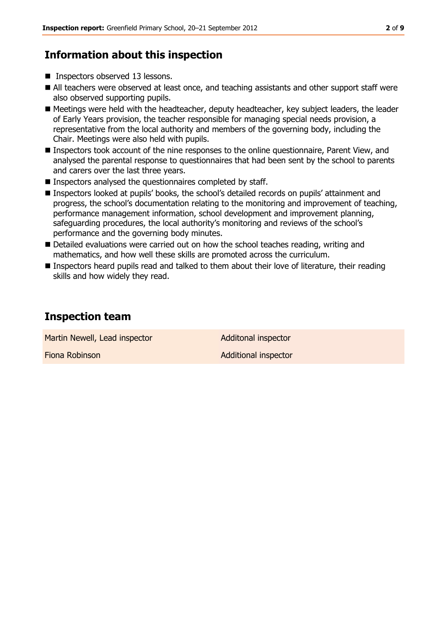# **Information about this inspection**

- Inspectors observed 13 lessons.
- All teachers were observed at least once, and teaching assistants and other support staff were also observed supporting pupils.
- Meetings were held with the headteacher, deputy headteacher, key subject leaders, the leader of Early Years provision, the teacher responsible for managing special needs provision, a representative from the local authority and members of the governing body, including the Chair. Meetings were also held with pupils.
- Inspectors took account of the nine responses to the online questionnaire, Parent View, and analysed the parental response to questionnaires that had been sent by the school to parents and carers over the last three years.
- **Inspectors analysed the questionnaires completed by staff.**
- Inspectors looked at pupils' books, the school's detailed records on pupils' attainment and progress, the school's documentation relating to the monitoring and improvement of teaching, performance management information, school development and improvement planning, safeguarding procedures, the local authority's monitoring and reviews of the school's performance and the governing body minutes.
- Detailed evaluations were carried out on how the school teaches reading, writing and mathematics, and how well these skills are promoted across the curriculum.
- **Inspectors heard pupils read and talked to them about their love of literature, their reading** skills and how widely they read.

# **Inspection team**

Martin Newell, Lead inspector **Additional inspector** 

**Fiona Robinson Additional inspector**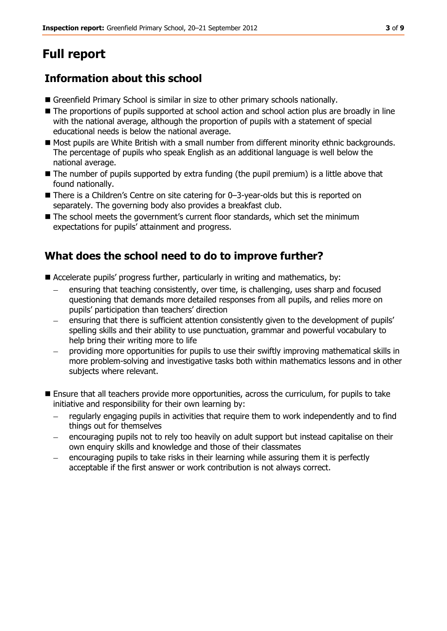# **Full report**

# **Information about this school**

- Greenfield Primary School is similar in size to other primary schools nationally.
- The proportions of pupils supported at school action and school action plus are broadly in line with the national average, although the proportion of pupils with a statement of special educational needs is below the national average.
- Most pupils are White British with a small number from different minority ethnic backgrounds. The percentage of pupils who speak English as an additional language is well below the national average.
- The number of pupils supported by extra funding (the pupil premium) is a little above that found nationally.
- There is a Children's Centre on site catering for 0–3-year-olds but this is reported on separately. The governing body also provides a breakfast club.
- The school meets the government's current floor standards, which set the minimum expectations for pupils' attainment and progress.

# **What does the school need to do to improve further?**

- Accelerate pupils' progress further, particularly in writing and mathematics, by:
	- ensuring that teaching consistently, over time, is challenging, uses sharp and focused questioning that demands more detailed responses from all pupils, and relies more on pupils' participation than teachers' direction
	- ensuring that there is sufficient attention consistently given to the development of pupils' spelling skills and their ability to use punctuation, grammar and powerful vocabulary to help bring their writing more to life
	- providing more opportunities for pupils to use their swiftly improving mathematical skills in more problem-solving and investigative tasks both within mathematics lessons and in other subjects where relevant.
- **Ensure that all teachers provide more opportunities, across the curriculum, for pupils to take** initiative and responsibility for their own learning by:
	- regularly engaging pupils in activities that require them to work independently and to find things out for themselves
	- encouraging pupils not to rely too heavily on adult support but instead capitalise on their own enquiry skills and knowledge and those of their classmates
	- encouraging pupils to take risks in their learning while assuring them it is perfectly acceptable if the first answer or work contribution is not always correct.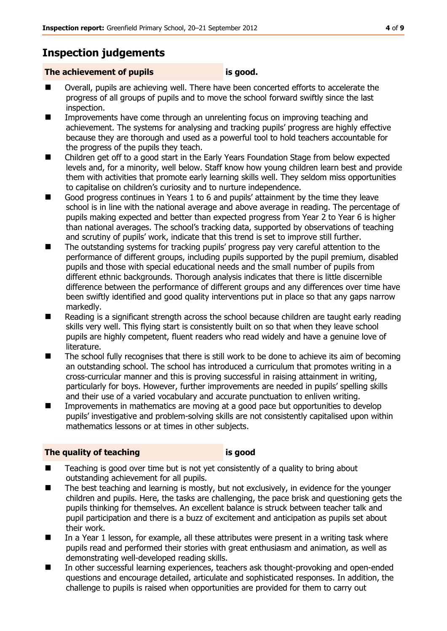# **Inspection judgements**

#### **The achievement of pupils is good.**

- Overall, pupils are achieving well. There have been concerted efforts to accelerate the progress of all groups of pupils and to move the school forward swiftly since the last inspection.
- Improvements have come through an unrelenting focus on improving teaching and achievement. The systems for analysing and tracking pupils' progress are highly effective because they are thorough and used as a powerful tool to hold teachers accountable for the progress of the pupils they teach.
- Children get off to a good start in the Early Years Foundation Stage from below expected levels and, for a minority, well below. Staff know how young children learn best and provide them with activities that promote early learning skills well. They seldom miss opportunities to capitalise on children's curiosity and to nurture independence.
- Good progress continues in Years 1 to 6 and pupils' attainment by the time they leave school is in line with the national average and above average in reading. The percentage of pupils making expected and better than expected progress from Year 2 to Year 6 is higher than national averages. The school's tracking data, supported by observations of teaching and scrutiny of pupils' work, indicate that this trend is set to improve still further.
- The outstanding systems for tracking pupils' progress pay very careful attention to the performance of different groups, including pupils supported by the pupil premium, disabled pupils and those with special educational needs and the small number of pupils from different ethnic backgrounds. Thorough analysis indicates that there is little discernible difference between the performance of different groups and any differences over time have been swiftly identified and good quality interventions put in place so that any gaps narrow markedly.
- Reading is a significant strength across the school because children are taught early reading skills very well. This flying start is consistently built on so that when they leave school pupils are highly competent, fluent readers who read widely and have a genuine love of literature.
- $\blacksquare$  The school fully recognises that there is still work to be done to achieve its aim of becoming an outstanding school. The school has introduced a curriculum that promotes writing in a cross-curricular manner and this is proving successful in raising attainment in writing, particularly for boys. However, further improvements are needed in pupils' spelling skills and their use of a varied vocabulary and accurate punctuation to enliven writing.
- Improvements in mathematics are moving at a good pace but opportunities to develop pupils' investigative and problem-solving skills are not consistently capitalised upon within mathematics lessons or at times in other subjects.

#### **The quality of teaching is good**

- Teaching is good over time but is not yet consistently of a quality to bring about outstanding achievement for all pupils.
- The best teaching and learning is mostly, but not exclusively, in evidence for the younger children and pupils. Here, the tasks are challenging, the pace brisk and questioning gets the pupils thinking for themselves. An excellent balance is struck between teacher talk and pupil participation and there is a buzz of excitement and anticipation as pupils set about their work.
- In a Year 1 lesson, for example, all these attributes were present in a writing task where pupils read and performed their stories with great enthusiasm and animation, as well as demonstrating well-developed reading skills.
- In other successful learning experiences, teachers ask thought-provoking and open-ended questions and encourage detailed, articulate and sophisticated responses. In addition, the challenge to pupils is raised when opportunities are provided for them to carry out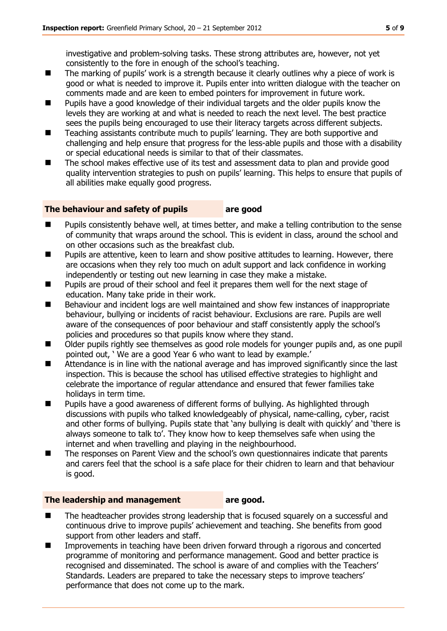investigative and problem-solving tasks. These strong attributes are, however, not yet consistently to the fore in enough of the school's teaching.

- The marking of pupils' work is a strength because it clearly outlines why a piece of work is good or what is needed to improve it. Pupils enter into written dialogue with the teacher on comments made and are keen to embed pointers for improvement in future work.
- Pupils have a good knowledge of their individual targets and the older pupils know the levels they are working at and what is needed to reach the next level. The best practice sees the pupils being encouraged to use their literacy targets across different subjects.
- Teaching assistants contribute much to pupils' learning. They are both supportive and challenging and help ensure that progress for the less-able pupils and those with a disability or special educational needs is similar to that of their classmates.
- The school makes effective use of its test and assessment data to plan and provide good quality intervention strategies to push on pupils' learning. This helps to ensure that pupils of all abilities make equally good progress.

#### **The behaviour and safety of pupils are good**

- Pupils consistently behave well, at times better, and make a telling contribution to the sense of community that wraps around the school. This is evident in class, around the school and on other occasions such as the breakfast club.
- Pupils are attentive, keen to learn and show positive attitudes to learning. However, there are occasions when they rely too much on adult support and lack confidence in working independently or testing out new learning in case they make a mistake.
- Pupils are proud of their school and feel it prepares them well for the next stage of education. Many take pride in their work.
- Behaviour and incident logs are well maintained and show few instances of inappropriate behaviour, bullying or incidents of racist behaviour. Exclusions are rare. Pupils are well aware of the consequences of poor behaviour and staff consistently apply the school's policies and procedures so that pupils know where they stand.
- Older pupils rightly see themselves as good role models for younger pupils and, as one pupil pointed out, ' We are a good Year 6 who want to lead by example.'
- Attendance is in line with the national average and has improved significantly since the last inspection. This is because the school has utilised effective strategies to highlight and celebrate the importance of regular attendance and ensured that fewer families take holidays in term time.
- Pupils have a good awareness of different forms of bullying. As highlighted through discussions with pupils who talked knowledgeably of physical, name-calling, cyber, racist and other forms of bullying. Pupils state that 'any bullying is dealt with quickly' and 'there is always someone to talk to'. They know how to keep themselves safe when using the internet and when travelling and playing in the neighbourhood.
- The responses on Parent View and the school's own questionnaires indicate that parents and carers feel that the school is a safe place for their chidren to learn and that behaviour is good.

#### **The leadership and management are good.**

- The headteacher provides strong leadership that is focused squarely on a successful and continuous drive to improve pupils' achievement and teaching. She benefits from good support from other leaders and staff.
- Improvements in teaching have been driven forward through a rigorous and concerted programme of monitoring and performance management. Good and better practice is recognised and disseminated. The school is aware of and complies with the Teachers' Standards. Leaders are prepared to take the necessary steps to improve teachers' performance that does not come up to the mark.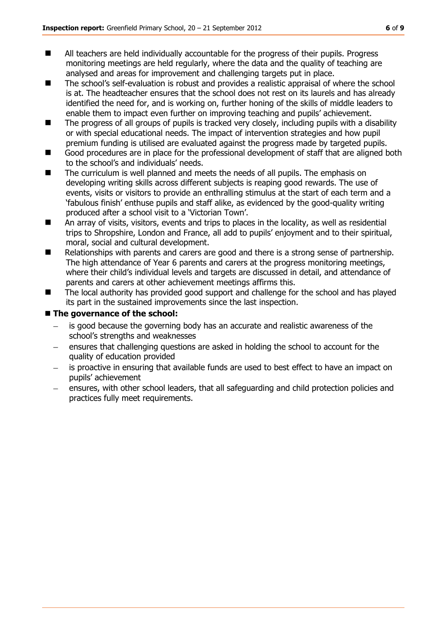- All teachers are held individually accountable for the progress of their pupils. Progress monitoring meetings are held regularly, where the data and the quality of teaching are analysed and areas for improvement and challenging targets put in place.
- The school's self-evaluation is robust and provides a realistic appraisal of where the school is at. The headteacher ensures that the school does not rest on its laurels and has already identified the need for, and is working on, further honing of the skills of middle leaders to enable them to impact even further on improving teaching and pupils' achievement.
- $\blacksquare$  The progress of all groups of pupils is tracked very closely, including pupils with a disability or with special educational needs. The impact of intervention strategies and how pupil premium funding is utilised are evaluated against the progress made by targeted pupils.
- Good procedures are in place for the professional development of staff that are aligned both to the school's and individuals' needs.
- The curriculum is well planned and meets the needs of all pupils. The emphasis on developing writing skills across different subjects is reaping good rewards. The use of events, visits or visitors to provide an enthralling stimulus at the start of each term and a 'fabulous finish' enthuse pupils and staff alike, as evidenced by the good-quality writing produced after a school visit to a 'Victorian Town'.
- An array of visits, visitors, events and trips to places in the locality, as well as residential trips to Shropshire, London and France, all add to pupils' enjoyment and to their spiritual, moral, social and cultural development.
- Relationships with parents and carers are good and there is a strong sense of partnership. The high attendance of Year 6 parents and carers at the progress monitoring meetings, where their child's individual levels and targets are discussed in detail, and attendance of parents and carers at other achievement meetings affirms this.
- The local authority has provided good support and challenge for the school and has played its part in the sustained improvements since the last inspection.

#### ■ The governance of the school:

- is good because the governing body has an accurate and realistic awareness of the school's strengths and weaknesses
- ensures that challenging questions are asked in holding the school to account for the quality of education provided
- is proactive in ensuring that available funds are used to best effect to have an impact on pupils' achievement
- ensures, with other school leaders, that all safeguarding and child protection policies and practices fully meet requirements.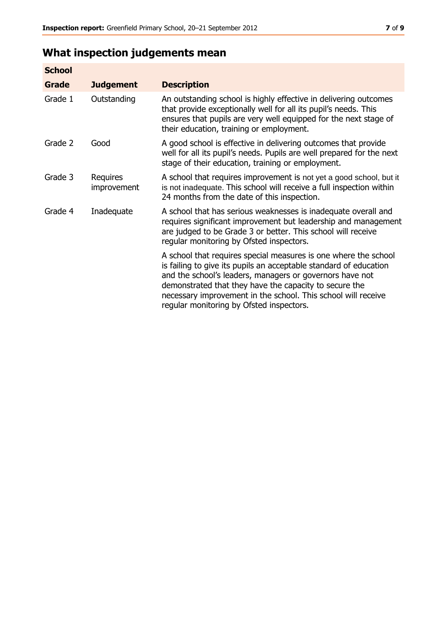# **What inspection judgements mean**

| <b>School</b> |                         |                                                                                                                                                                                                                                                                                                                                                                         |
|---------------|-------------------------|-------------------------------------------------------------------------------------------------------------------------------------------------------------------------------------------------------------------------------------------------------------------------------------------------------------------------------------------------------------------------|
| Grade         | <b>Judgement</b>        | <b>Description</b>                                                                                                                                                                                                                                                                                                                                                      |
| Grade 1       | Outstanding             | An outstanding school is highly effective in delivering outcomes<br>that provide exceptionally well for all its pupil's needs. This<br>ensures that pupils are very well equipped for the next stage of<br>their education, training or employment.                                                                                                                     |
| Grade 2       | Good                    | A good school is effective in delivering outcomes that provide<br>well for all its pupil's needs. Pupils are well prepared for the next<br>stage of their education, training or employment.                                                                                                                                                                            |
| Grade 3       | Requires<br>improvement | A school that requires improvement is not yet a good school, but it<br>is not inadequate. This school will receive a full inspection within<br>24 months from the date of this inspection.                                                                                                                                                                              |
| Grade 4       | Inadequate              | A school that has serious weaknesses is inadequate overall and<br>requires significant improvement but leadership and management<br>are judged to be Grade 3 or better. This school will receive<br>regular monitoring by Ofsted inspectors.                                                                                                                            |
|               |                         | A school that requires special measures is one where the school<br>is failing to give its pupils an acceptable standard of education<br>and the school's leaders, managers or governors have not<br>demonstrated that they have the capacity to secure the<br>necessary improvement in the school. This school will receive<br>regular monitoring by Ofsted inspectors. |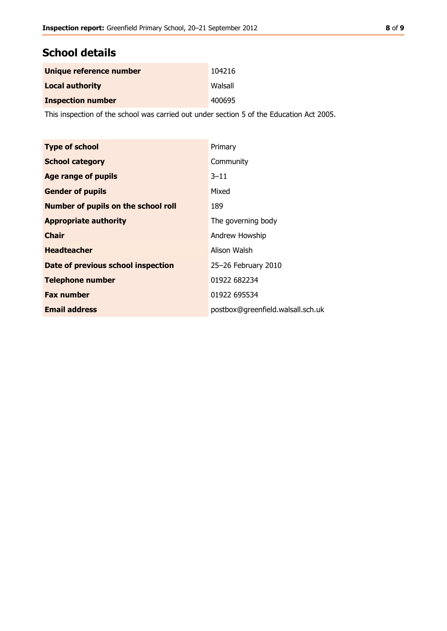# **School details**

| Unique reference number  | 104216  |
|--------------------------|---------|
| <b>Local authority</b>   | Walsall |
| <b>Inspection number</b> | 400695  |

This inspection of the school was carried out under section 5 of the Education Act 2005.

| <b>Type of school</b>                      | Primary                           |  |
|--------------------------------------------|-----------------------------------|--|
| <b>School category</b>                     | Community                         |  |
| <b>Age range of pupils</b>                 | $3 - 11$                          |  |
| <b>Gender of pupils</b>                    | Mixed                             |  |
| <b>Number of pupils on the school roll</b> | 189                               |  |
| <b>Appropriate authority</b>               | The governing body                |  |
| <b>Chair</b>                               | Andrew Howship                    |  |
| <b>Headteacher</b>                         | Alison Walsh                      |  |
| Date of previous school inspection         | 25-26 February 2010               |  |
| <b>Telephone number</b>                    | 01922 682234                      |  |
| <b>Fax number</b>                          | 01922 695534                      |  |
| <b>Email address</b>                       | postbox@greenfield.walsall.sch.uk |  |